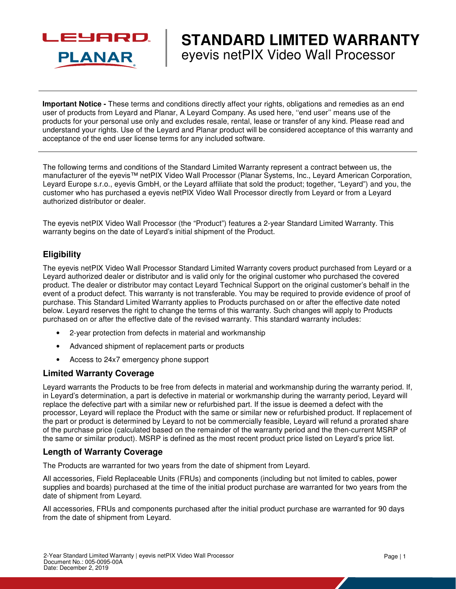

# **STANDARD LIMITED WARRANTY** eyevis netPIX Video Wall Processor

**Important Notice -** These terms and conditions directly affect your rights, obligations and remedies as an end user of products from Leyard and Planar, A Leyard Company. As used here, ''end user'' means use of the products for your personal use only and excludes resale, rental, lease or transfer of any kind. Please read and understand your rights. Use of the Leyard and Planar product will be considered acceptance of this warranty and acceptance of the end user license terms for any included software.

The following terms and conditions of the Standard Limited Warranty represent a contract between us, the manufacturer of the eyevis™ netPIX Video Wall Processor (Planar Systems, Inc., Leyard American Corporation, Leyard Europe s.r.o., eyevis GmbH, or the Leyard affiliate that sold the product; together, "Leyard") and you, the customer who has purchased a eyevis netPIX Video Wall Processor directly from Leyard or from a Leyard authorized distributor or dealer.

The eyevis netPIX Video Wall Processor (the "Product") features a 2-year Standard Limited Warranty. This warranty begins on the date of Leyard's initial shipment of the Product.

# **Eligibility**

The eyevis netPIX Video Wall Processor Standard Limited Warranty covers product purchased from Leyard or a Leyard authorized dealer or distributor and is valid only for the original customer who purchased the covered product. The dealer or distributor may contact Leyard Technical Support on the original customer's behalf in the event of a product defect. This warranty is not transferable. You may be required to provide evidence of proof of purchase. This Standard Limited Warranty applies to Products purchased on or after the effective date noted below. Leyard reserves the right to change the terms of this warranty. Such changes will apply to Products purchased on or after the effective date of the revised warranty. This standard warranty includes:

- 2-year protection from defects in material and workmanship
- Advanced shipment of replacement parts or products
- Access to 24x7 emergency phone support

# **Limited Warranty Coverage**

Leyard warrants the Products to be free from defects in material and workmanship during the warranty period. If, in Leyard's determination, a part is defective in material or workmanship during the warranty period, Leyard will replace the defective part with a similar new or refurbished part. If the issue is deemed a defect with the processor, Leyard will replace the Product with the same or similar new or refurbished product. If replacement of the part or product is determined by Leyard to not be commercially feasible, Leyard will refund a prorated share of the purchase price (calculated based on the remainder of the warranty period and the then-current MSRP of the same or similar product). MSRP is defined as the most recent product price listed on Leyard's price list.

# **Length of Warranty Coverage**

The Products are warranted for two years from the date of shipment from Leyard.

All accessories, Field Replaceable Units (FRUs) and components (including but not limited to cables, power supplies and boards) purchased at the time of the initial product purchase are warranted for two years from the date of shipment from Leyard.

All accessories, FRUs and components purchased after the initial product purchase are warranted for 90 days from the date of shipment from Leyard.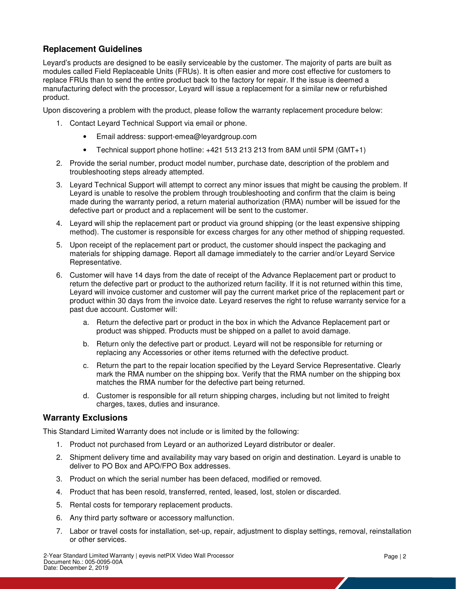# **Replacement Guidelines**

Leyard's products are designed to be easily serviceable by the customer. The majority of parts are built as modules called Field Replaceable Units (FRUs). It is often easier and more cost effective for customers to replace FRUs than to send the entire product back to the factory for repair. If the issue is deemed a manufacturing defect with the processor, Leyard will issue a replacement for a similar new or refurbished product.

Upon discovering a problem with the product, please follow the warranty replacement procedure below:

- 1. Contact Leyard Technical Support via email or phone.
	- Email address: support-emea@leyardgroup.com
	- Technical support phone hotline: +421 513 213 213 from 8AM until 5PM (GMT+1)
- 2. Provide the serial number, product model number, purchase date, description of the problem and troubleshooting steps already attempted.
- 3. Leyard Technical Support will attempt to correct any minor issues that might be causing the problem. If Leyard is unable to resolve the problem through troubleshooting and confirm that the claim is being made during the warranty period, a return material authorization (RMA) number will be issued for the defective part or product and a replacement will be sent to the customer.
- 4. Leyard will ship the replacement part or product via ground shipping (or the least expensive shipping method). The customer is responsible for excess charges for any other method of shipping requested.
- 5. Upon receipt of the replacement part or product, the customer should inspect the packaging and materials for shipping damage. Report all damage immediately to the carrier and/or Leyard Service Representative.
- 6. Customer will have 14 days from the date of receipt of the Advance Replacement part or product to return the defective part or product to the authorized return facility. If it is not returned within this time, Leyard will invoice customer and customer will pay the current market price of the replacement part or product within 30 days from the invoice date. Leyard reserves the right to refuse warranty service for a past due account. Customer will:
	- a. Return the defective part or product in the box in which the Advance Replacement part or product was shipped. Products must be shipped on a pallet to avoid damage.
	- b. Return only the defective part or product. Leyard will not be responsible for returning or replacing any Accessories or other items returned with the defective product.
	- c. Return the part to the repair location specified by the Leyard Service Representative. Clearly mark the RMA number on the shipping box. Verify that the RMA number on the shipping box matches the RMA number for the defective part being returned.
	- d. Customer is responsible for all return shipping charges, including but not limited to freight charges, taxes, duties and insurance.

# **Warranty Exclusions**

This Standard Limited Warranty does not include or is limited by the following:

- 1. Product not purchased from Leyard or an authorized Leyard distributor or dealer.
- 2. Shipment delivery time and availability may vary based on origin and destination. Leyard is unable to deliver to PO Box and APO/FPO Box addresses.
- 3. Product on which the serial number has been defaced, modified or removed.
- 4. Product that has been resold, transferred, rented, leased, lost, stolen or discarded.
- 5. Rental costs for temporary replacement products.
- 6. Any third party software or accessory malfunction.
- 7. Labor or travel costs for installation, set-up, repair, adjustment to display settings, removal, reinstallation or other services.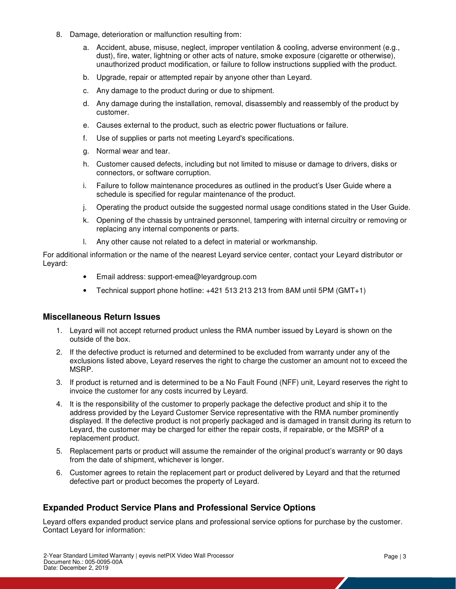- 8. Damage, deterioration or malfunction resulting from:
	- a. Accident, abuse, misuse, neglect, improper ventilation & cooling, adverse environment (e.g., dust), fire, water, lightning or other acts of nature, smoke exposure (cigarette or otherwise), unauthorized product modification, or failure to follow instructions supplied with the product.
	- b. Upgrade, repair or attempted repair by anyone other than Leyard.
	- c. Any damage to the product during or due to shipment.
	- d. Any damage during the installation, removal, disassembly and reassembly of the product by customer.
	- e. Causes external to the product, such as electric power fluctuations or failure.
	- f. Use of supplies or parts not meeting Leyard's specifications.
	- g. Normal wear and tear.
	- h. Customer caused defects, including but not limited to misuse or damage to drivers, disks or connectors, or software corruption.
	- i. Failure to follow maintenance procedures as outlined in the product's User Guide where a schedule is specified for regular maintenance of the product.
	- j. Operating the product outside the suggested normal usage conditions stated in the User Guide.
	- k. Opening of the chassis by untrained personnel, tampering with internal circuitry or removing or replacing any internal components or parts.
	- l. Any other cause not related to a defect in material or workmanship.

For additional information or the name of the nearest Leyard service center, contact your Leyard distributor or Leyard:

- Email address: support-emea@leyardgroup.com
- Technical support phone hotline: +421 513 213 213 from 8AM until 5PM (GMT+1)

#### **Miscellaneous Return Issues**

- 1. Leyard will not accept returned product unless the RMA number issued by Leyard is shown on the outside of the box.
- 2. If the defective product is returned and determined to be excluded from warranty under any of the exclusions listed above, Leyard reserves the right to charge the customer an amount not to exceed the MSRP.
- 3. If product is returned and is determined to be a No Fault Found (NFF) unit, Leyard reserves the right to invoice the customer for any costs incurred by Leyard.
- 4. It is the responsibility of the customer to properly package the defective product and ship it to the address provided by the Leyard Customer Service representative with the RMA number prominently displayed. If the defective product is not properly packaged and is damaged in transit during its return to Leyard, the customer may be charged for either the repair costs, if repairable, or the MSRP of a replacement product.
- 5. Replacement parts or product will assume the remainder of the original product's warranty or 90 days from the date of shipment, whichever is longer.
- 6. Customer agrees to retain the replacement part or product delivered by Leyard and that the returned defective part or product becomes the property of Leyard.

# **Expanded Product Service Plans and Professional Service Options**

Leyard offers expanded product service plans and professional service options for purchase by the customer. Contact Leyard for information: